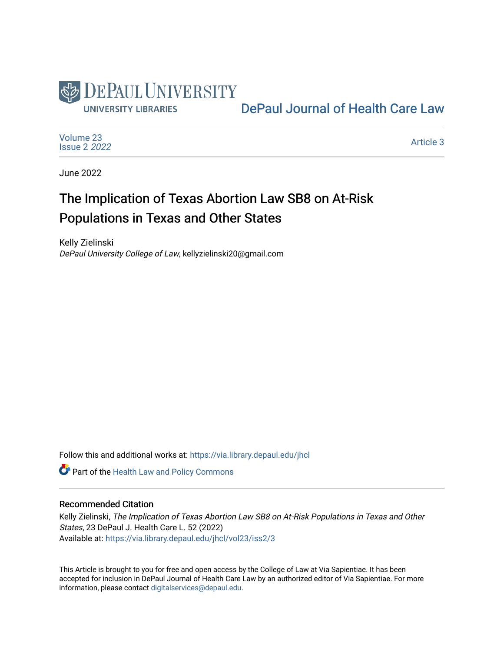

# [DePaul Journal of Health Care Law](https://via.library.depaul.edu/jhcl)

[Volume 23](https://via.library.depaul.edu/jhcl/vol23) [Issue 2](https://via.library.depaul.edu/jhcl/vol23/iss2) 2022

[Article 3](https://via.library.depaul.edu/jhcl/vol23/iss2/3) 

June 2022

# The Implication of Texas Abortion Law SB8 on At-Risk Populations in Texas and Other States

Kelly Zielinski DePaul University College of Law, kellyzielinski20@gmail.com

Follow this and additional works at: [https://via.library.depaul.edu/jhcl](https://via.library.depaul.edu/jhcl?utm_source=via.library.depaul.edu%2Fjhcl%2Fvol23%2Fiss2%2F3&utm_medium=PDF&utm_campaign=PDFCoverPages) 

**Part of the Health Law and Policy Commons** 

## Recommended Citation

Kelly Zielinski, The Implication of Texas Abortion Law SB8 on At-Risk Populations in Texas and Other States, 23 DePaul J. Health Care L. 52 (2022) Available at: [https://via.library.depaul.edu/jhcl/vol23/iss2/3](https://via.library.depaul.edu/jhcl/vol23/iss2/3?utm_source=via.library.depaul.edu%2Fjhcl%2Fvol23%2Fiss2%2F3&utm_medium=PDF&utm_campaign=PDFCoverPages)

This Article is brought to you for free and open access by the College of Law at Via Sapientiae. It has been accepted for inclusion in DePaul Journal of Health Care Law by an authorized editor of Via Sapientiae. For more information, please contact [digitalservices@depaul.edu](mailto:digitalservices@depaul.edu).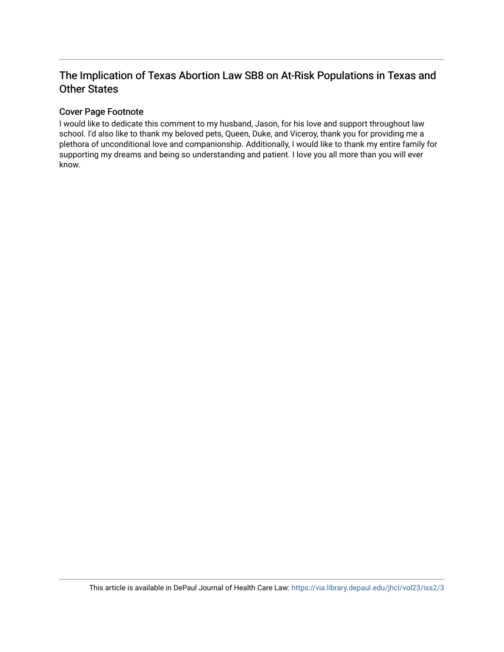# The Implication of Texas Abortion Law SB8 on At-Risk Populations in Texas and Other States

# Cover Page Footnote

I would like to dedicate this comment to my husband, Jason, for his love and support throughout law school. I'd also like to thank my beloved pets, Queen, Duke, and Viceroy, thank you for providing me a plethora of unconditional love and companionship. Additionally, I would like to thank my entire family for supporting my dreams and being so understanding and patient. I love you all more than you will ever know.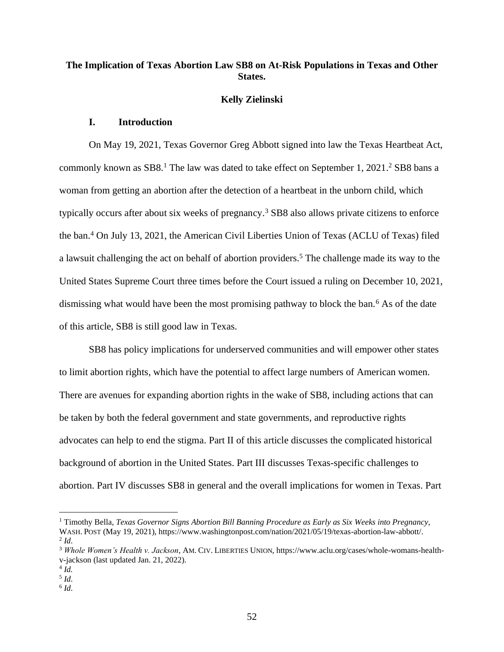# **The Implication of Texas Abortion Law SB8 on At-Risk Populations in Texas and Other States.**

#### **Kelly Zielinski**

## **I. Introduction**

On May 19, 2021, Texas Governor Greg Abbott signed into law the Texas Heartbeat Act, commonly known as SB8.<sup>1</sup> The law was dated to take effect on September 1, 2021.<sup>2</sup> SB8 bans a woman from getting an abortion after the detection of a heartbeat in the unborn child, which typically occurs after about six weeks of pregnancy. <sup>3</sup> SB8 also allows private citizens to enforce the ban. <sup>4</sup> On July 13, 2021, the American Civil Liberties Union of Texas (ACLU of Texas) filed a lawsuit challenging the act on behalf of abortion providers.<sup>5</sup> The challenge made its way to the United States Supreme Court three times before the Court issued a ruling on December 10, 2021, dismissing what would have been the most promising pathway to block the ban.<sup>6</sup> As of the date of this article, SB8 is still good law in Texas.

SB8 has policy implications for underserved communities and will empower other states to limit abortion rights, which have the potential to affect large numbers of American women. There are avenues for expanding abortion rights in the wake of SB8, including actions that can be taken by both the federal government and state governments, and reproductive rights advocates can help to end the stigma. Part II of this article discusses the complicated historical background of abortion in the United States. Part III discusses Texas-specific challenges to abortion. Part IV discusses SB8 in general and the overall implications for women in Texas. Part

<sup>&</sup>lt;sup>1</sup> Timothy Bella, *Texas Governor Signs Abortion Bill Banning Procedure as Early as Six Weeks into Pregnancy,* WASH.POST (May 19, 2021), https://www.washingtonpost.com/nation/2021/05/19/texas-abortion-law-abbott/. 2 *Id*.

<sup>3</sup> *Whole Women's Health v. Jackson*, AM. CIV. LIBERTIES UNION, https://www.aclu.org/cases/whole-womans-healthv-jackson (last updated Jan. 21, 2022).

<sup>4</sup> *Id.*

<sup>5</sup> *Id*.

<sup>6</sup> *Id*.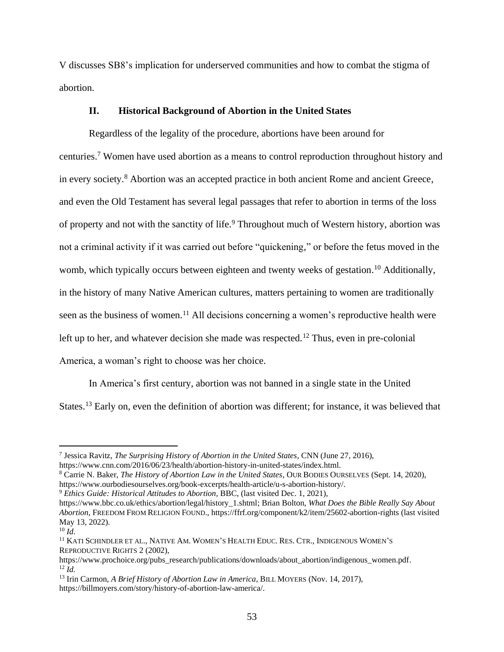V discusses SB8's implication for underserved communities and how to combat the stigma of abortion.

#### **II. Historical Background of Abortion in the United States**

Regardless of the legality of the procedure, abortions have been around for centuries.<sup>7</sup> Women have used abortion as a means to control reproduction throughout history and in every society.<sup>8</sup> Abortion was an accepted practice in both ancient Rome and ancient Greece, and even the Old Testament has several legal passages that refer to abortion in terms of the loss of property and not with the sanctity of life.<sup>9</sup> Throughout much of Western history, abortion was not a criminal activity if it was carried out before "quickening," or before the fetus moved in the womb, which typically occurs between eighteen and twenty weeks of gestation.<sup>10</sup> Additionally, in the history of many Native American cultures, matters pertaining to women are traditionally seen as the business of women.<sup>11</sup> All decisions concerning a women's reproductive health were left up to her, and whatever decision she made was respected.<sup>12</sup> Thus, even in pre-colonial America, a woman's right to choose was her choice.

In America's first century, abortion was not banned in a single state in the United States.<sup>13</sup> Early on, even the definition of abortion was different; for instance, it was believed that

<sup>13</sup> Irin Carmon, *A Brief History of Abortion Law in America*, BILL MOYERS (Nov. 14, 2017), https://billmoyers.com/story/history-of-abortion-law-america/.

<sup>7</sup> Jessica Ravitz, *The Surprising History of Abortion in the United States*, CNN (June 27, 2016), https://www.cnn.com/2016/06/23/health/abortion-history-in-united-states/index.html.

<sup>8</sup> Carrie N. Baker, *The History of Abortion Law in the United States*, OUR BODIES OURSELVES (Sept. 14, 2020), https://www.ourbodiesourselves.org/book-excerpts/health-article/u-s-abortion-history/.

<sup>9</sup> *Ethics Guide: Historical Attitudes to Abortion*, BBC, (last visited Dec. 1, 2021),

https://www.bbc.co.uk/ethics/abortion/legal/history\_1.shtml; Brian Bolton, *What Does the Bible Really Say About Abortion*, FREEDOM FROM RELIGION FOUND., https://ffrf.org/component/k2/item/25602-abortion-rights (last visited May 13, 2022).

 $^{10}$  *Id.* 

<sup>&</sup>lt;sup>11</sup> KATI SCHINDLER ET AL., NATIVE AM. WOMEN'S HEALTH EDUC. RES. CTR., INDIGENOUS WOMEN'S REPRODUCTIVE RIGHTS 2 (2002),

https://www.prochoice.org/pubs\_research/publications/downloads/about\_abortion/indigenous\_women.pdf.  $^{12}$  *Id.*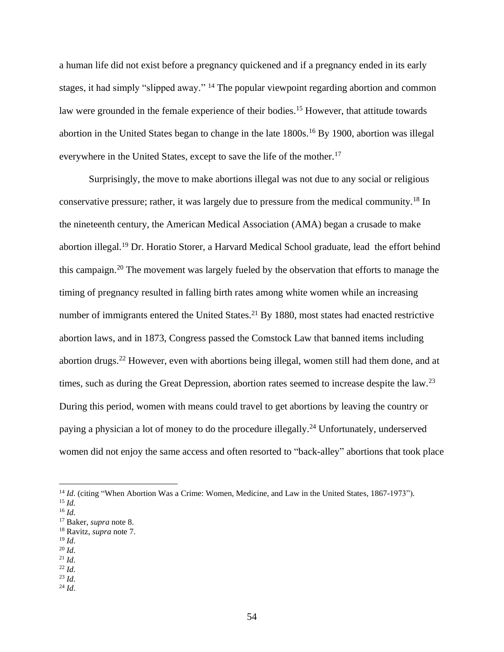a human life did not exist before a pregnancy quickened and if a pregnancy ended in its early stages, it had simply "slipped away." <sup>14</sup> The popular viewpoint regarding abortion and common law were grounded in the female experience of their bodies.<sup>15</sup> However, that attitude towards abortion in the United States began to change in the late 1800s. <sup>16</sup> By 1900, abortion was illegal everywhere in the United States, except to save the life of the mother.<sup>17</sup>

Surprisingly, the move to make abortions illegal was not due to any social or religious conservative pressure; rather, it was largely due to pressure from the medical community.<sup>18</sup> In the nineteenth century, the American Medical Association (AMA) began a crusade to make abortion illegal.<sup>19</sup> Dr. Horatio Storer, a Harvard Medical School graduate, lead the effort behind this campaign. <sup>20</sup> The movement was largely fueled by the observation that efforts to manage the timing of pregnancy resulted in falling birth rates among white women while an increasing number of immigrants entered the United States.<sup>21</sup> By 1880, most states had enacted restrictive abortion laws, and in 1873, Congress passed the Comstock Law that banned items including abortion drugs.<sup>22</sup> However, even with abortions being illegal, women still had them done, and at times, such as during the Great Depression, abortion rates seemed to increase despite the law.<sup>23</sup> During this period, women with means could travel to get abortions by leaving the country or paying a physician a lot of money to do the procedure illegally.<sup>24</sup> Unfortunately, underserved women did not enjoy the same access and often resorted to "back-alley" abortions that took place

- <sup>19</sup> *Id*.
- <sup>20</sup> *Id*.
- $^{21}$  *Id.*
- <sup>22</sup> *Id*.

 $^{24}$  *Id.* 

<sup>&</sup>lt;sup>14</sup> *Id.* (citing "When Abortion Was a Crime: Women, Medicine, and Law in the United States, 1867-1973").

<sup>15</sup> *Id.* <sup>16</sup> *Id.*

<sup>17</sup> Baker, *supra* note 8. <sup>18</sup> Ravitz, *supra* note 7.

<sup>23</sup> *Id*.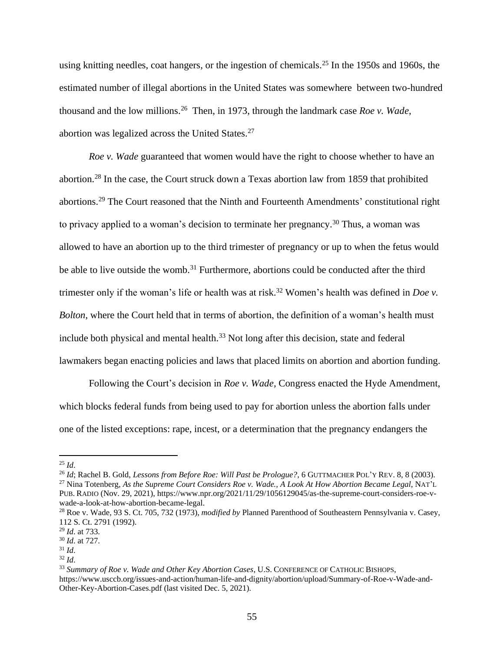using knitting needles, coat hangers, or the ingestion of chemicals.<sup>25</sup> In the 1950s and 1960s, the estimated number of illegal abortions in the United States was somewhere between two-hundred thousand and the low millions. <sup>26</sup> Then, in 1973, through the landmark case *Roe v. Wade*, abortion was legalized across the United States.<sup>27</sup>

*Roe v. Wade* guaranteed that women would have the right to choose whether to have an abortion.<sup>28</sup> In the case, the Court struck down a Texas abortion law from 1859 that prohibited abortions.<sup>29</sup> The Court reasoned that the Ninth and Fourteenth Amendments' constitutional right to privacy applied to a woman's decision to terminate her pregnancy.<sup>30</sup> Thus, a woman was allowed to have an abortion up to the third trimester of pregnancy or up to when the fetus would be able to live outside the womb.<sup>31</sup> Furthermore, abortions could be conducted after the third trimester only if the woman's life or health was at risk.<sup>32</sup> Women's health was defined in *Doe v*. *Bolton*, where the Court held that in terms of abortion, the definition of a woman's health must include both physical and mental health. $33$  Not long after this decision, state and federal lawmakers began enacting policies and laws that placed limits on abortion and abortion funding.

Following the Court's decision in *Roe v. Wade*, Congress enacted the Hyde Amendment, which blocks federal funds from being used to pay for abortion unless the abortion falls under one of the listed exceptions: rape, incest, or a determination that the pregnancy endangers the

 $^{25}$  *Id.* 

<sup>26</sup> *Id*; Rachel B. Gold, *Lessons from Before Roe: Will Past be Prologue?*, 6 GUTTMACHER POL'Y REV. 8, 8 (2003).

<sup>27</sup> Nina Totenberg, *As the Supreme Court Considers Roe v. Wade., A Look At How Abortion Became Legal*, NAT'L PUB. RADIO (Nov. 29, 2021), https://www.npr.org/2021/11/29/1056129045/as-the-supreme-court-considers-roe-vwade-a-look-at-how-abortion-became-legal.

<sup>28</sup> Roe v. Wade, 93 S. Ct. 705, 732 (1973), *modified by* Planned Parenthood of Southeastern Pennsylvania v. Casey, 112 S. Ct. 2791 (1992).

<sup>29</sup> *Id*. at 733.

<sup>30</sup> *Id*. at 727.

<sup>31</sup> *Id*.

<sup>32</sup> *Id*.

<sup>33</sup> *Summary of Roe v. Wade and Other Key Abortion Cases*, U.S. CONFERENCE OF CATHOLIC BISHOPS, https://www.usccb.org/issues-and-action/human-life-and-dignity/abortion/upload/Summary-of-Roe-v-Wade-and-Other-Key-Abortion-Cases.pdf (last visited Dec. 5, 2021).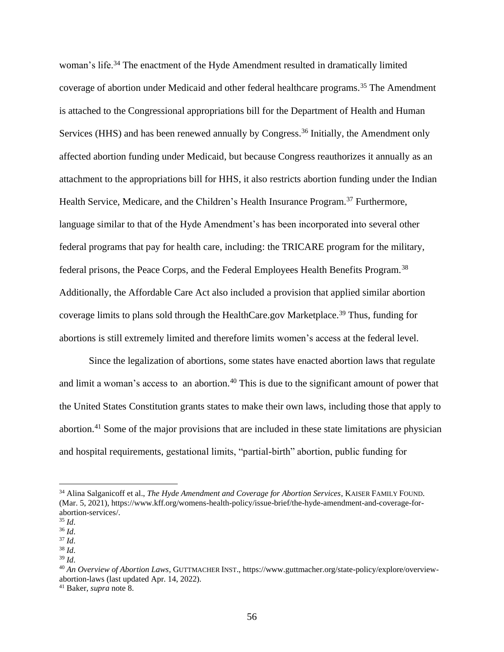woman's life.<sup>34</sup> The enactment of the Hyde Amendment resulted in dramatically limited coverage of abortion under Medicaid and other federal healthcare programs.<sup>35</sup> The Amendment is attached to the Congressional appropriations bill for the Department of Health and Human Services (HHS) and has been renewed annually by Congress.<sup>36</sup> Initially, the Amendment only affected abortion funding under Medicaid, but because Congress reauthorizes it annually as an attachment to the appropriations bill for HHS, it also restricts abortion funding under the Indian Health Service, Medicare, and the Children's Health Insurance Program.<sup>37</sup> Furthermore, language similar to that of the Hyde Amendment's has been incorporated into several other federal programs that pay for health care, including: the TRICARE program for the military, federal prisons, the Peace Corps, and the Federal Employees Health Benefits Program.<sup>38</sup> Additionally, the Affordable Care Act also included a provision that applied similar abortion coverage limits to plans sold through the HealthCare.gov Marketplace.<sup>39</sup> Thus, funding for abortions is still extremely limited and therefore limits women's access at the federal level.

Since the legalization of abortions, some states have enacted abortion laws that regulate and limit a woman's access to an abortion.<sup>40</sup> This is due to the significant amount of power that the United States Constitution grants states to make their own laws, including those that apply to abortion.<sup>41</sup> Some of the major provisions that are included in these state limitations are physician and hospital requirements, gestational limits, "partial-birth" abortion, public funding for

<sup>38</sup> *Id*. <sup>39</sup> *Id*.

<sup>34</sup> Alina Salganicoff et al., *The Hyde Amendment and Coverage for Abortion Services*, KAISER FAMILY FOUND. (Mar. 5, 2021), https://www.kff.org/womens-health-policy/issue-brief/the-hyde-amendment-and-coverage-forabortion-services/.

<sup>35</sup> *Id*.

<sup>36</sup> *Id*.

<sup>37</sup> *Id*.

<sup>40</sup> *An Overview of Abortion Laws,* GUTTMACHER INST., https://www.guttmacher.org/state-policy/explore/overviewabortion-laws (last updated Apr. 14, 2022).

<sup>41</sup> Baker, *supra* note 8.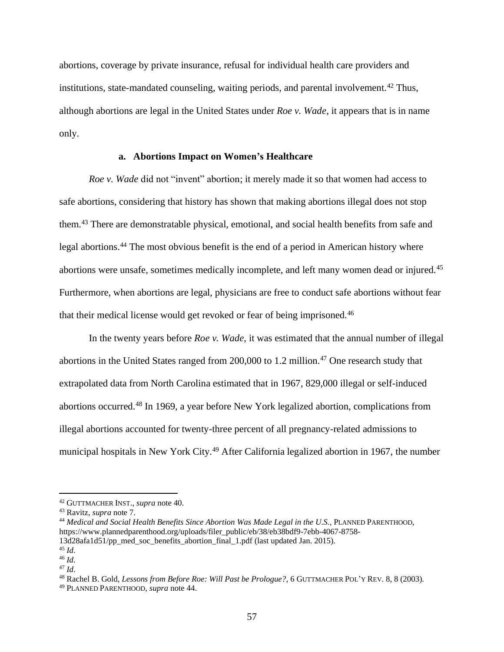abortions, coverage by private insurance, refusal for individual health care providers and institutions, state-mandated counseling, waiting periods, and parental involvement.<sup>42</sup> Thus, although abortions are legal in the United States under *Roe v. Wade*, it appears that is in name only.

#### **a. Abortions Impact on Women's Healthcare**

*Roe v. Wade* did not "invent" abortion; it merely made it so that women had access to safe abortions, considering that history has shown that making abortions illegal does not stop them. <sup>43</sup> There are demonstratable physical, emotional, and social health benefits from safe and legal abortions.<sup>44</sup> The most obvious benefit is the end of a period in American history where abortions were unsafe, sometimes medically incomplete, and left many women dead or injured.<sup>45</sup> Furthermore, when abortions are legal, physicians are free to conduct safe abortions without fear that their medical license would get revoked or fear of being imprisoned.<sup>46</sup>

In the twenty years before *Roe v. Wade*, it was estimated that the annual number of illegal abortions in the United States ranged from  $200,000$  to 1.2 million.<sup>47</sup> One research study that extrapolated data from North Carolina estimated that in 1967, 829,000 illegal or self-induced abortions occurred.<sup>48</sup> In 1969, a year before New York legalized abortion, complications from illegal abortions accounted for twenty-three percent of all pregnancy-related admissions to municipal hospitals in New York City.<sup>49</sup> After California legalized abortion in 1967, the number

<sup>42</sup> GUTTMACHER INST., *supra* note 40.

<sup>43</sup> Ravitz, *supra* note 7.

<sup>44</sup> *Medical and Social Health Benefits Since Abortion Was Made Legal in the U.S.*, PLANNED PARENTHOOD, https://www.plannedparenthood.org/uploads/filer\_public/eb/38/eb38bdf9-7ebb-4067-8758- 13d28afa1d51/pp\_med\_soc\_benefits\_abortion\_final\_1.pdf (last updated Jan. 2015).

<sup>45</sup> *Id*.

<sup>46</sup> *Id*.

<sup>47</sup> *Id*.

<sup>48</sup> Rachel B. Gold, *Lessons from Before Roe: Will Past be Prologue?*, 6 GUTTMACHER POL'Y REV. 8, 8 (2003).

<sup>49</sup> PLANNED PARENTHOOD, *supra* note 44.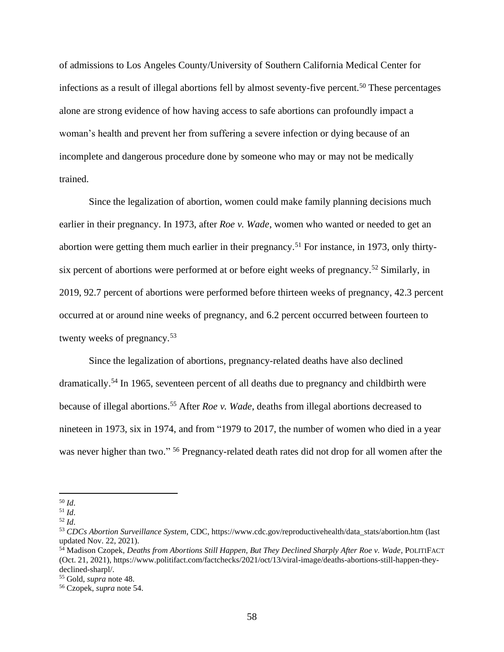of admissions to Los Angeles County/University of Southern California Medical Center for infections as a result of illegal abortions fell by almost seventy-five percent.<sup>50</sup> These percentages alone are strong evidence of how having access to safe abortions can profoundly impact a woman's health and prevent her from suffering a severe infection or dying because of an incomplete and dangerous procedure done by someone who may or may not be medically trained.

Since the legalization of abortion, women could make family planning decisions much earlier in their pregnancy. In 1973, after *Roe v. Wade*, women who wanted or needed to get an abortion were getting them much earlier in their pregnancy.<sup>51</sup> For instance, in 1973, only thirtysix percent of abortions were performed at or before eight weeks of pregnancy.<sup>52</sup> Similarly, in 2019, 92.7 percent of abortions were performed before thirteen weeks of pregnancy, 42.3 percent occurred at or around nine weeks of pregnancy, and 6.2 percent occurred between fourteen to twenty weeks of pregnancy.<sup>53</sup>

Since the legalization of abortions, pregnancy-related deaths have also declined dramatically.<sup>54</sup> In 1965, seventeen percent of all deaths due to pregnancy and childbirth were because of illegal abortions.<sup>55</sup> After *Roe v. Wade*, deaths from illegal abortions decreased to nineteen in 1973, six in 1974, and from "1979 to 2017, the number of women who died in a year was never higher than two." <sup>56</sup> Pregnancy-related death rates did not drop for all women after the

<sup>50</sup> *Id*.

<sup>51</sup> *Id*.

<sup>52</sup> *Id*.

<sup>53</sup> *CDCs Abortion Surveillance System*, CDC, https://www.cdc.gov/reproductivehealth/data\_stats/abortion.htm (last updated Nov. 22, 2021).

<sup>54</sup> Madison Czopek, *Deaths from Abortions Still Happen, But They Declined Sharply After Roe v. Wade*, POLITIFACT (Oct. 21, 2021), https://www.politifact.com/factchecks/2021/oct/13/viral-image/deaths-abortions-still-happen-theydeclined-sharpl/.

<sup>55</sup> Gold, *supra* note 48.

<sup>56</sup> Czopek, *supra* note 54.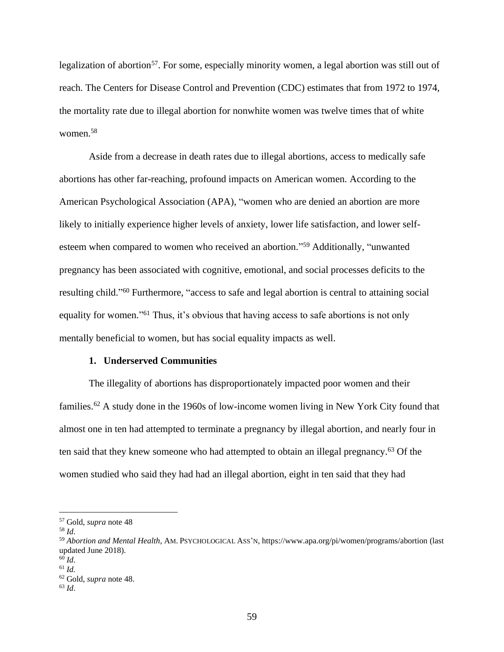legalization of abortion<sup>57</sup>. For some, especially minority women, a legal abortion was still out of reach. The Centers for Disease Control and Prevention (CDC) estimates that from 1972 to 1974, the mortality rate due to illegal abortion for nonwhite women was twelve times that of white women.<sup>58</sup>

Aside from a decrease in death rates due to illegal abortions, access to medically safe abortions has other far-reaching, profound impacts on American women. According to the American Psychological Association (APA), "women who are denied an abortion are more likely to initially experience higher levels of anxiety, lower life satisfaction, and lower selfesteem when compared to women who received an abortion."<sup>59</sup> Additionally, "unwanted pregnancy has been associated with cognitive, emotional, and social processes deficits to the resulting child."<sup>60</sup> Furthermore, "access to safe and legal abortion is central to attaining social equality for women."<sup>61</sup> Thus, it's obvious that having access to safe abortions is not only mentally beneficial to women, but has social equality impacts as well.

#### **1. Underserved Communities**

The illegality of abortions has disproportionately impacted poor women and their families.<sup>62</sup> A study done in the 1960s of low-income women living in New York City found that almost one in ten had attempted to terminate a pregnancy by illegal abortion, and nearly four in ten said that they knew someone who had attempted to obtain an illegal pregnancy.<sup>63</sup> Of the women studied who said they had had an illegal abortion, eight in ten said that they had

<sup>57</sup> Gold, *supra* note 48

<sup>58</sup> *Id*.

<sup>59</sup> *Abortion and Mental Health*, AM.PSYCHOLOGICAL ASS'N, https://www.apa.org/pi/women/programs/abortion (last updated June 2018).

<sup>60</sup> *Id*.

<sup>61</sup> *Id.*

<sup>62</sup> Gold, *supra* note 48.

<sup>63</sup> *Id*.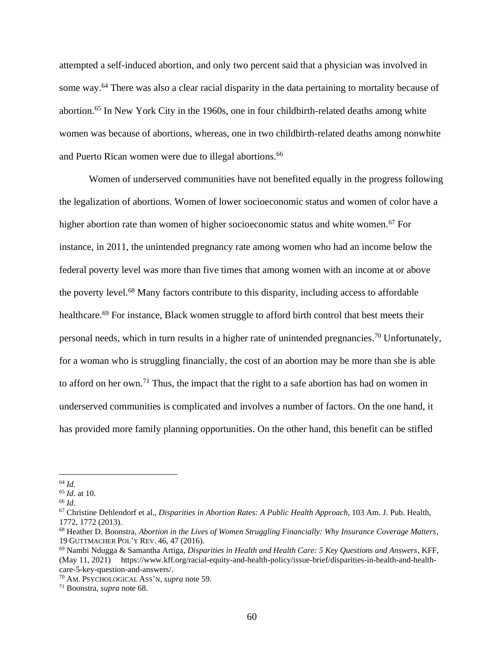attempted a self-induced abortion, and only two percent said that a physician was involved in some way.<sup>64</sup> There was also a clear racial disparity in the data pertaining to mortality because of abortion.<sup>65</sup> In New York City in the 1960s, one in four childbirth-related deaths among white women was because of abortions, whereas, one in two childbirth-related deaths among nonwhite and Puerto Rican women were due to illegal abortions. 66

Women of underserved communities have not benefited equally in the progress following the legalization of abortions. Women of lower socioeconomic status and women of color have a higher abortion rate than women of higher socioeconomic status and white women.<sup>67</sup> For instance, in 2011, the unintended pregnancy rate among women who had an income below the federal poverty level was more than five times that among women with an income at or above the poverty level.<sup>68</sup> Many factors contribute to this disparity, including access to affordable healthcare.<sup>69</sup> For instance, Black women struggle to afford birth control that best meets their personal needs, which in turn results in a higher rate of unintended pregnancies.<sup>70</sup> Unfortunately, for a woman who is struggling financially, the cost of an abortion may be more than she is able to afford on her own.<sup>71</sup> Thus, the impact that the right to a safe abortion has had on women in underserved communities is complicated and involves a number of factors. On the one hand, it has provided more family planning opportunities. On the other hand, this benefit can be stifled

<sup>64</sup> *Id*.

<sup>65</sup> *Id*. at 10.

<sup>66</sup> *Id*.

<sup>67</sup> Christine Dehlendorf et al., *Disparities in Abortion Rates: A Public Health Approach*, 103 Am. J. Pub. Health, 1772, 1772 (2013).

<sup>68</sup> Heather D. Boonstra, *Abortion in the Lives of Women Struggling Financially: Why Insurance Coverage Matters*, 19 GUTTMACHER POL'Y REV. 46, 47 (2016).

<sup>69</sup> Nambi Ndugga & Samantha Artiga, *Disparities in Health and Health Care: 5 Key Questions and Answers*, KFF, (May 11, 2021) https://www.kff.org/racial-equity-and-health-policy/issue-brief/disparities-in-health-and-healthcare-5-key-question-and-answers/.

<sup>70</sup> AM.PSYCHOLOGICAL ASS'N, *supra* note 59.

<sup>71</sup> Boonstra, *supra* note 68.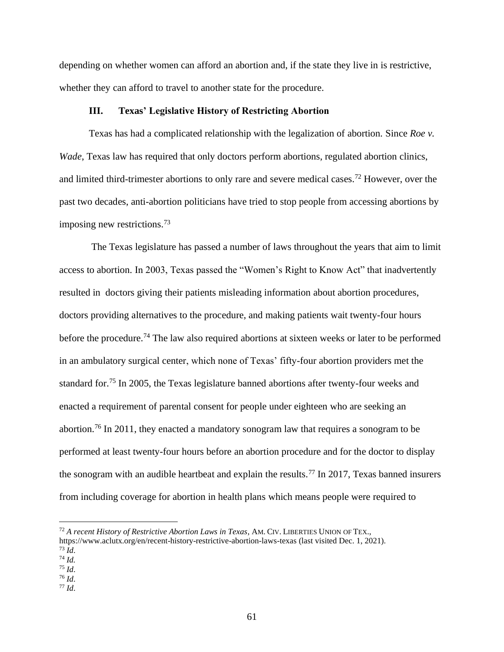depending on whether women can afford an abortion and, if the state they live in is restrictive, whether they can afford to travel to another state for the procedure.

#### **III. Texas' Legislative History of Restricting Abortion**

Texas has had a complicated relationship with the legalization of abortion. Since *Roe v. Wade*, Texas law has required that only doctors perform abortions, regulated abortion clinics, and limited third-trimester abortions to only rare and severe medical cases.<sup>72</sup> However, over the past two decades, anti-abortion politicians have tried to stop people from accessing abortions by imposing new restrictions. 73

The Texas legislature has passed a number of laws throughout the years that aim to limit access to abortion. In 2003, Texas passed the "Women's Right to Know Act" that inadvertently resulted in doctors giving their patients misleading information about abortion procedures, doctors providing alternatives to the procedure, and making patients wait twenty-four hours before the procedure.<sup>74</sup> The law also required abortions at sixteen weeks or later to be performed in an ambulatory surgical center, which none of Texas' fifty-four abortion providers met the standard for.<sup>75</sup> In 2005, the Texas legislature banned abortions after twenty-four weeks and enacted a requirement of parental consent for people under eighteen who are seeking an abortion.<sup>76</sup> In 2011, they enacted a mandatory sonogram law that requires a sonogram to be performed at least twenty-four hours before an abortion procedure and for the doctor to display the sonogram with an audible heartbeat and explain the results.<sup>77</sup> In 2017, Texas banned insurers from including coverage for abortion in health plans which means people were required to

<sup>72</sup> *A recent History of Restrictive Abortion Laws in Texas*, AM. CIV. LIBERTIES UNION OF TEX.,

https://www.aclutx.org/en/recent-history-restrictive-abortion-laws-texas (last visited Dec. 1, 2021).

<sup>73</sup> *Id*.

<sup>74</sup> *Id.* <sup>75</sup> *Id*.

<sup>76</sup> *Id*.

<sup>77</sup> *Id*.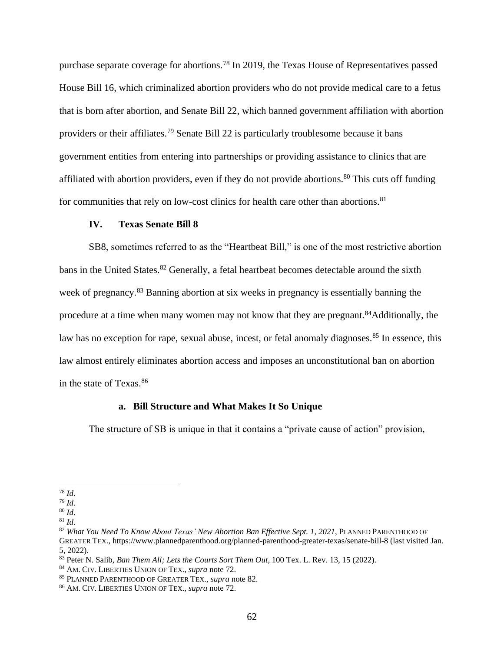purchase separate coverage for abortions.<sup>78</sup> In 2019, the Texas House of Representatives passed House Bill 16, which criminalized abortion providers who do not provide medical care to a fetus that is born after abortion, and Senate Bill 22, which banned government affiliation with abortion providers or their affiliates.<sup>79</sup> Senate Bill 22 is particularly troublesome because it bans government entities from entering into partnerships or providing assistance to clinics that are affiliated with abortion providers, even if they do not provide abortions.<sup>80</sup> This cuts off funding for communities that rely on low-cost clinics for health care other than abortions.<sup>81</sup>

#### **IV. Texas Senate Bill 8**

SB8, sometimes referred to as the "Heartbeat Bill," is one of the most restrictive abortion bans in the United States.<sup>82</sup> Generally, a fetal heartbeat becomes detectable around the sixth week of pregnancy.<sup>83</sup> Banning abortion at six weeks in pregnancy is essentially banning the procedure at a time when many women may not know that they are pregnant.<sup>84</sup>Additionally, the law has no exception for rape, sexual abuse, incest, or fetal anomaly diagnoses.<sup>85</sup> In essence, this law almost entirely eliminates abortion access and imposes an unconstitutional ban on abortion in the state of Texas.<sup>86</sup>

#### **a. Bill Structure and What Makes It So Unique**

The structure of SB is unique in that it contains a "private cause of action" provision,

<sup>78</sup> *Id*.

<sup>79</sup> *Id*.

<sup>80</sup> *Id*.

<sup>81</sup> *Id*.

<sup>82</sup> *What You Need To Know About Texas' New Abortion Ban Effective Sept. 1, 2021*, PLANNED PARENTHOOD OF GREATER TEX., https://www.plannedparenthood.org/planned-parenthood-greater-texas/senate-bill-8 (last visited Jan. 5, 2022).

<sup>83</sup> Peter N. Salib, *Ban Them All; Lets the Courts Sort Them Out*, 100 Tex. L. Rev. 13, 15 (2022).

<sup>84</sup> AM. CIV. LIBERTIES UNION OF TEX., *supra* note 72.

<sup>85</sup> PLANNED PARENTHOOD OF GREATER TEX., *supra* note 82.

<sup>86</sup> AM. CIV. LIBERTIES UNION OF TEX., *supra* note 72.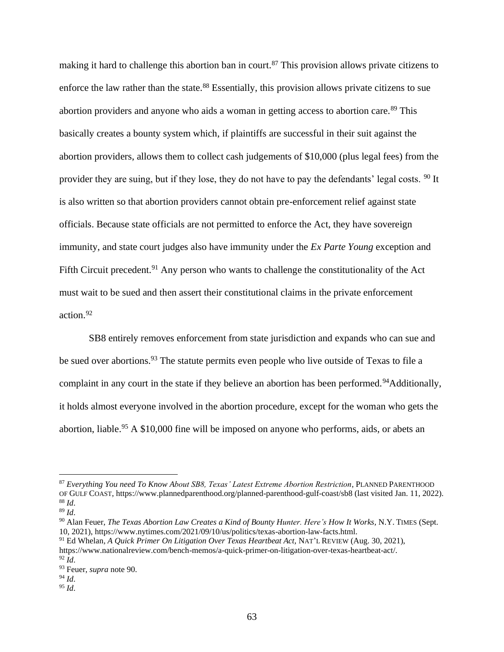making it hard to challenge this abortion ban in court.<sup>87</sup> This provision allows private citizens to enforce the law rather than the state.<sup>88</sup> Essentially, this provision allows private citizens to sue abortion providers and anyone who aids a woman in getting access to abortion care.<sup>89</sup> This basically creates a bounty system which, if plaintiffs are successful in their suit against the abortion providers, allows them to collect cash judgements of \$10,000 (plus legal fees) from the provider they are suing, but if they lose, they do not have to pay the defendants' legal costs. <sup>90</sup> It is also written so that abortion providers cannot obtain pre-enforcement relief against state officials. Because state officials are not permitted to enforce the Act, they have sovereign immunity, and state court judges also have immunity under the *Ex Parte Young* exception and Fifth Circuit precedent.<sup>91</sup> Any person who wants to challenge the constitutionality of the Act must wait to be sued and then assert their constitutional claims in the private enforcement action.<sup>92</sup>

SB8 entirely removes enforcement from state jurisdiction and expands who can sue and be sued over abortions.<sup>93</sup> The statute permits even people who live outside of Texas to file a complaint in any court in the state if they believe an abortion has been performed.<sup>94</sup>Additionally, it holds almost everyone involved in the abortion procedure, except for the woman who gets the abortion, liable.<sup>95</sup> A \$10,000 fine will be imposed on anyone who performs, aids, or abets an

<sup>87</sup> *Everything You need To Know About SB8, Texas' Latest Extreme Abortion Restriction*, PLANNED PARENTHOOD OF GULF COAST, https://www.plannedparenthood.org/planned-parenthood-gulf-coast/sb8 (last visited Jan. 11, 2022). <sup>88</sup> *Id*.

<sup>89</sup> *Id*.

<sup>90</sup> Alan Feuer, *The Texas Abortion Law Creates a Kind of Bounty Hunter. Here's How It Works,* N.Y. TIMES (Sept. 10, 2021), https://www.nytimes.com/2021/09/10/us/politics/texas-abortion-law-facts.html.

<sup>91</sup> Ed Whelan*, A Quick Primer On Litigation Over Texas Heartbeat Act,* NAT'L REVIEW (Aug. 30, 2021), https://www.nationalreview.com/bench-memos/a-quick-primer-on-litigation-over-texas-heartbeat-act/.  $92$  *Id.* 

<sup>93</sup> Feuer, *supra* note 90.

<sup>94</sup> *Id*.

<sup>95</sup> *Id*.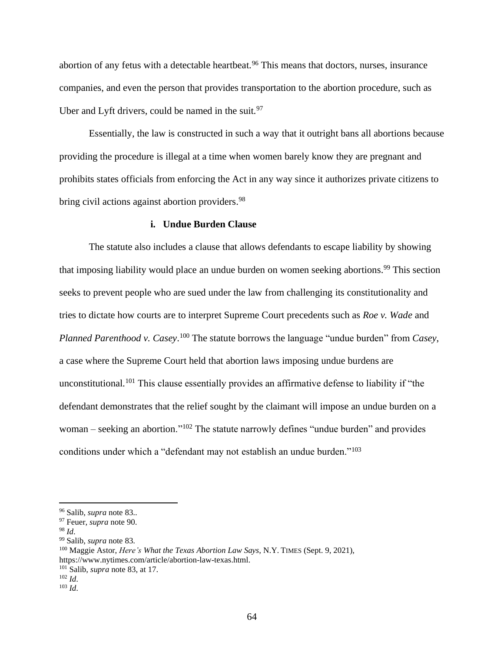abortion of any fetus with a detectable heartbeat.<sup>96</sup> This means that doctors, nurses, insurance companies, and even the person that provides transportation to the abortion procedure, such as Uber and Lyft drivers, could be named in the suit.<sup>97</sup>

Essentially, the law is constructed in such a way that it outright bans all abortions because providing the procedure is illegal at a time when women barely know they are pregnant and prohibits states officials from enforcing the Act in any way since it authorizes private citizens to bring civil actions against abortion providers.<sup>98</sup>

#### **i. Undue Burden Clause**

The statute also includes a clause that allows defendants to escape liability by showing that imposing liability would place an undue burden on women seeking abortions. <sup>99</sup> This section seeks to prevent people who are sued under the law from challenging its constitutionality and tries to dictate how courts are to interpret Supreme Court precedents such as *Roe v. Wade* and *Planned Parenthood v. Casey*. <sup>100</sup> The statute borrows the language "undue burden" from *Casey*, a case where the Supreme Court held that abortion laws imposing undue burdens are unconstitutional.<sup>101</sup> This clause essentially provides an affirmative defense to liability if "the defendant demonstrates that the relief sought by the claimant will impose an undue burden on a woman – seeking an abortion."<sup>102</sup> The statute narrowly defines "undue burden" and provides conditions under which a "defendant may not establish an undue burden."<sup>103</sup>

<sup>101</sup> Salib, *supra* note 83, at 17.

<sup>96</sup> Salib, *supra* note 83..

<sup>97</sup> Feuer, *supra* note 90.

<sup>98</sup> *Id*.

<sup>99</sup> Salib, *supra* note 83.

<sup>100</sup> Maggie Astor, *Here's What the Texas Abortion Law Says*, N.Y. TIMES (Sept. 9, 2021), https://www.nytimes.com/article/abortion-law-texas.html.

<sup>102</sup> *Id*.

<sup>103</sup> *Id*.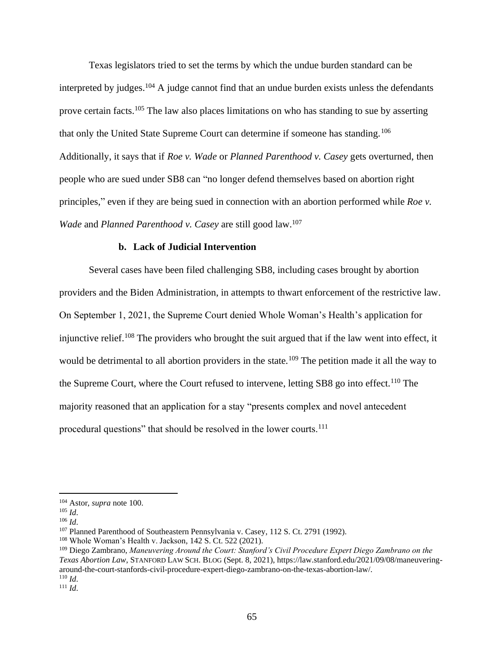Texas legislators tried to set the terms by which the undue burden standard can be interpreted by judges.<sup>104</sup> A judge cannot find that an undue burden exists unless the defendants prove certain facts.<sup>105</sup> The law also places limitations on who has standing to sue by asserting that only the United State Supreme Court can determine if someone has standing.<sup>106</sup> Additionally, it says that if *Roe v. Wade* or *Planned Parenthood v. Casey* gets overturned, then people who are sued under SB8 can "no longer defend themselves based on abortion right principles," even if they are being sued in connection with an abortion performed while *Roe v. Wade* and *Planned Parenthood v. Casey* are still good law.<sup>107</sup>

#### **b. Lack of Judicial Intervention**

Several cases have been filed challenging SB8, including cases brought by abortion providers and the Biden Administration, in attempts to thwart enforcement of the restrictive law. On September 1, 2021, the Supreme Court denied Whole Woman's Health's application for injunctive relief.<sup>108</sup> The providers who brought the suit argued that if the law went into effect, it would be detrimental to all abortion providers in the state.<sup>109</sup> The petition made it all the way to the Supreme Court, where the Court refused to intervene, letting SB8 go into effect.<sup>110</sup> The majority reasoned that an application for a stay "presents complex and novel antecedent procedural questions" that should be resolved in the lower courts.<sup>111</sup>

<sup>104</sup> Astor, *supra* note 100.

<sup>105</sup> *Id*.

<sup>106</sup> *Id*.

<sup>&</sup>lt;sup>107</sup> Planned Parenthood of Southeastern Pennsylvania v. Casey, 112 S. Ct. 2791 (1992).

<sup>108</sup> Whole Woman's Health v. Jackson, 142 S. Ct. 522 (2021).

<sup>109</sup> Diego Zambrano, *Maneuvering Around the Court: Stanford's Civil Procedure Expert Diego Zambrano on the Texas Abortion Law*, STANFORD LAW SCH. BLOG (Sept. 8, 2021), https://law.stanford.edu/2021/09/08/maneuveringaround-the-court-stanfords-civil-procedure-expert-diego-zambrano-on-the-texas-abortion-law/. <sup>110</sup> *Id*.

 $111$  *Id.*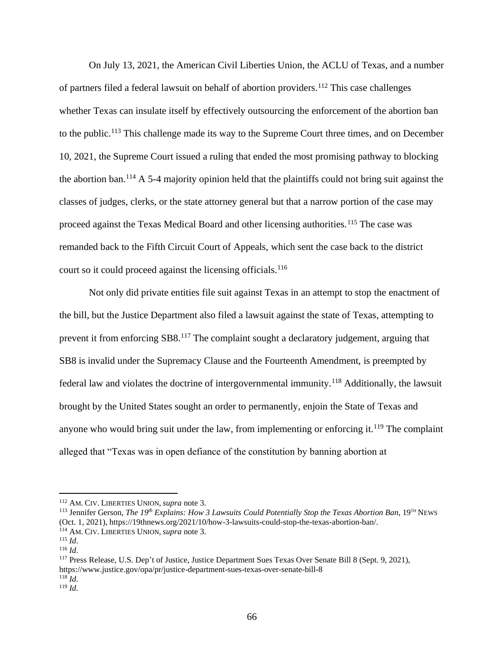On July 13, 2021, the American Civil Liberties Union, the ACLU of Texas, and a number of partners filed a federal lawsuit on behalf of abortion providers.<sup>112</sup> This case challenges whether Texas can insulate itself by effectively outsourcing the enforcement of the abortion ban to the public.<sup>113</sup> This challenge made its way to the Supreme Court three times, and on December 10, 2021, the Supreme Court issued a ruling that ended the most promising pathway to blocking the abortion ban.<sup>114</sup> A 5-4 majority opinion held that the plaintiffs could not bring suit against the classes of judges, clerks, or the state attorney general but that a narrow portion of the case may proceed against the Texas Medical Board and other licensing authorities.<sup>115</sup> The case was remanded back to the Fifth Circuit Court of Appeals, which sent the case back to the district court so it could proceed against the licensing officials.<sup>116</sup>

Not only did private entities file suit against Texas in an attempt to stop the enactment of the bill, but the Justice Department also filed a lawsuit against the state of Texas, attempting to prevent it from enforcing SB8.<sup>117</sup> The complaint sought a declaratory judgement, arguing that SB8 is invalid under the Supremacy Clause and the Fourteenth Amendment, is preempted by federal law and violates the doctrine of intergovernmental immunity.<sup>118</sup> Additionally, the lawsuit brought by the United States sought an order to permanently, enjoin the State of Texas and anyone who would bring suit under the law, from implementing or enforcing it.<sup>119</sup> The complaint alleged that "Texas was in open defiance of the constitution by banning abortion at

<sup>112</sup> AM. CIV. LIBERTIES UNION, *supra* note 3.

<sup>113</sup> Jennifer Gerson, *The 19th Explains: How 3 Lawsuits Could Potentially Stop the Texas Abortion Ban*, 19TH NEWS (Oct. 1, 2021), https://19thnews.org/2021/10/how-3-lawsuits-could-stop-the-texas-abortion-ban/. <sup>114</sup> AM. CIV. LIBERTIES UNION, *supra* note 3.

<sup>115</sup> *Id*.

<sup>116</sup> *Id*.

<sup>117</sup> Press Release, U.S. Dep't of Justice, Justice Department Sues Texas Over Senate Bill 8 (Sept. 9, 2021), https://www.justice.gov/opa/pr/justice-department-sues-texas-over-senate-bill-8  $118$  *Id.* 

<sup>119</sup> *Id*.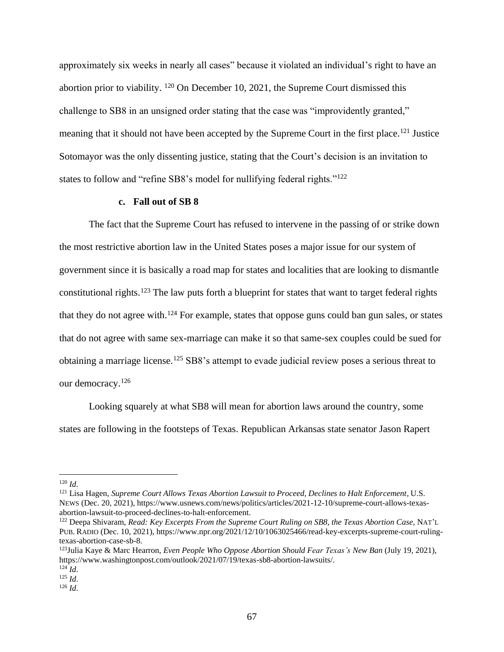approximately six weeks in nearly all cases" because it violated an individual's right to have an abortion prior to viability. <sup>120</sup> On December 10, 2021, the Supreme Court dismissed this challenge to SB8 in an unsigned order stating that the case was "improvidently granted," meaning that it should not have been accepted by the Supreme Court in the first place.<sup>121</sup> Justice Sotomayor was the only dissenting justice, stating that the Court's decision is an invitation to states to follow and "refine SB8's model for nullifying federal rights."<sup>122</sup>

#### **c. Fall out of SB 8**

The fact that the Supreme Court has refused to intervene in the passing of or strike down the most restrictive abortion law in the United States poses a major issue for our system of government since it is basically a road map for states and localities that are looking to dismantle constitutional rights.<sup>123</sup> The law puts forth a blueprint for states that want to target federal rights that they do not agree with.<sup>124</sup> For example, states that oppose guns could ban gun sales, or states that do not agree with same sex-marriage can make it so that same-sex couples could be sued for obtaining a marriage license.<sup>125</sup> SB8's attempt to evade judicial review poses a serious threat to our democracy.<sup>126</sup>

Looking squarely at what SB8 will mean for abortion laws around the country, some states are following in the footsteps of Texas. Republican Arkansas state senator Jason Rapert

 $120$  *Id.* 

<sup>121</sup> Lisa Hagen, *Supreme Court Allows Texas Abortion Lawsuit to Proceed, Declines to Halt Enforcement*, U.S. NEWS (Dec. 20, 2021), https://www.usnews.com/news/politics/articles/2021-12-10/supreme-court-allows-texasabortion-lawsuit-to-proceed-declines-to-halt-enforcement.

<sup>122</sup> Deepa Shivaram, *Read: Key Excerpts From the Supreme Court Ruling on SB8, the Texas Abortion Case*, NAT'L PUB. RADIO (Dec. 10, 2021), https://www.npr.org/2021/12/10/1063025466/read-key-excerpts-supreme-court-rulingtexas-abortion-case-sb-8.

<sup>123</sup>Julia Kaye & Marc Hearron, *Even People Who Oppose Abortion Should Fear Texas's New Ban* (July 19, 2021), https://www.washingtonpost.com/outlook/2021/07/19/texas-sb8-abortion-lawsuits/.

<sup>124</sup> *Id*.

 $125$  *Id.* 

<sup>126</sup> *Id*.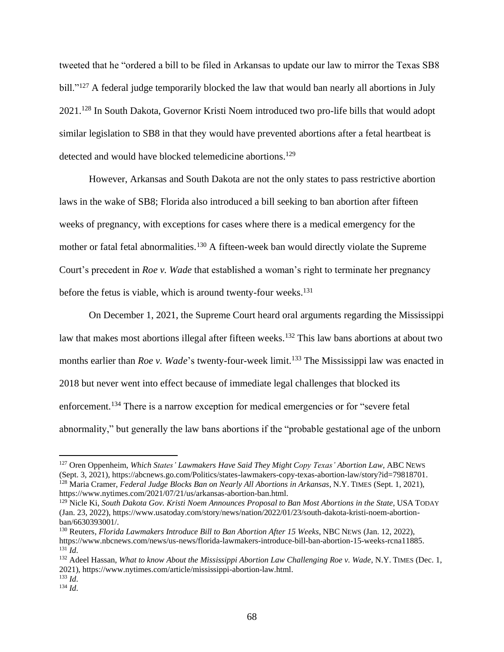tweeted that he "ordered a bill to be filed in Arkansas to update our law to mirror the Texas SB8 bill."<sup>127</sup> A federal judge temporarily blocked the law that would ban nearly all abortions in July 2021. <sup>128</sup> In South Dakota, Governor Kristi Noem introduced two pro-life bills that would adopt similar legislation to SB8 in that they would have prevented abortions after a fetal heartbeat is detected and would have blocked telemedicine abortions.<sup>129</sup>

However, Arkansas and South Dakota are not the only states to pass restrictive abortion laws in the wake of SB8; Florida also introduced a bill seeking to ban abortion after fifteen weeks of pregnancy, with exceptions for cases where there is a medical emergency for the mother or fatal fetal abnormalities.<sup>130</sup> A fifteen-week ban would directly violate the Supreme Court's precedent in *Roe v. Wade* that established a woman's right to terminate her pregnancy before the fetus is viable, which is around twenty-four weeks.<sup>131</sup>

On December 1, 2021, the Supreme Court heard oral arguments regarding the Mississippi law that makes most abortions illegal after fifteen weeks.<sup>132</sup> This law bans abortions at about two months earlier than *Roe v. Wade*'s twenty-four-week limit. <sup>133</sup> The Mississippi law was enacted in 2018 but never went into effect because of immediate legal challenges that blocked its enforcement.<sup>134</sup> There is a narrow exception for medical emergencies or for "severe fetal abnormality," but generally the law bans abortions if the "probable gestational age of the unborn

<sup>127</sup> Oren Oppenheim, *Which States' Lawmakers Have Said They Might Copy Texas' Abortion Law,* ABC NEWS (Sept. 3, 2021), https://abcnews.go.com/Politics/states-lawmakers-copy-texas-abortion-law/story?id=79818701. <sup>128</sup> Maria Cramer, *Federal Judge Blocks Ban on Nearly All Abortions in Arkansas*, N.Y. TIMES (Sept. 1, 2021), https://www.nytimes.com/2021/07/21/us/arkansas-abortion-ban.html.

<sup>129</sup> Nicle Ki, *South Dakota Gov. Kristi Noem Announces Proposal to Ban Most Abortions in the State*, USA TODAY (Jan. 23, 2022), https://www.usatoday.com/story/news/nation/2022/01/23/south-dakota-kristi-noem-abortionban/6630393001/.

<sup>130</sup> Reuters, *Florida Lawmakers Introduce Bill to Ban Abortion After 15 Weeks*, NBC NEWS (Jan. 12, 2022), https://www.nbcnews.com/news/us-news/florida-lawmakers-introduce-bill-ban-abortion-15-weeks-rcna11885. <sup>131</sup> *Id*.

<sup>132</sup> Adeel Hassan, *What to know About the Mississippi Abortion Law Challenging Roe v. Wade*, N.Y. TIMES (Dec. 1, 2021), https://www.nytimes.com/article/mississippi-abortion-law.html.

<sup>133</sup> *Id*. <sup>134</sup> *Id*.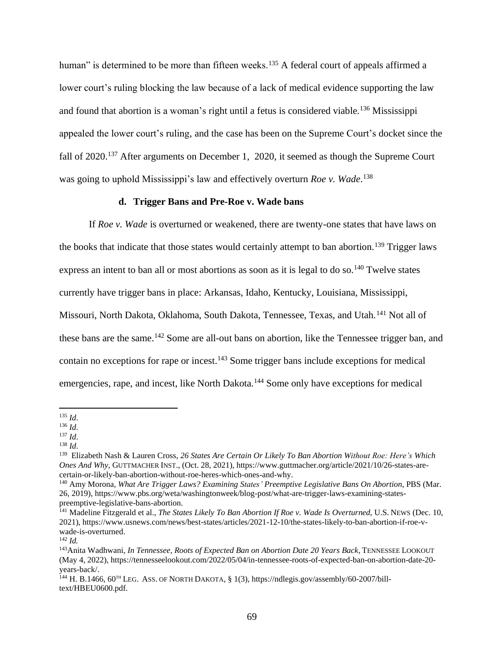human" is determined to be more than fifteen weeks.<sup>135</sup> A federal court of appeals affirmed a lower court's ruling blocking the law because of a lack of medical evidence supporting the law and found that abortion is a woman's right until a fetus is considered viable.<sup>136</sup> Mississippi appealed the lower court's ruling, and the case has been on the Supreme Court's docket since the fall of 2020.<sup>137</sup> After arguments on December 1, 2020, it seemed as though the Supreme Court was going to uphold Mississippi's law and effectively overturn *Roe v. Wade*. 138

#### **d. Trigger Bans and Pre-Roe v. Wade bans**

If *Roe v. Wade* is overturned or weakened, there are twenty-one states that have laws on the books that indicate that those states would certainly attempt to ban abortion.<sup>139</sup> Trigger laws express an intent to ban all or most abortions as soon as it is legal to do so.<sup>140</sup> Twelve states currently have trigger bans in place: Arkansas, Idaho, Kentucky, Louisiana, Mississippi, Missouri, North Dakota, Oklahoma, South Dakota, Tennessee, Texas, and Utah.<sup>141</sup> Not all of these bans are the same.<sup>142</sup> Some are all-out bans on abortion, like the Tennessee trigger ban, and contain no exceptions for rape or incest.<sup>143</sup> Some trigger bans include exceptions for medical emergencies, rape, and incest, like North Dakota.<sup>144</sup> Some only have exceptions for medical

<sup>135</sup> *Id*.

<sup>136</sup> *Id*.

<sup>137</sup> *Id*.

<sup>138</sup> *Id*.

<sup>139</sup> Elizabeth Nash & Lauren Cross, *26 States Are Certain Or Likely To Ban Abortion Without Roe: Here's Which Ones And Why*, GUTTMACHER INST., (Oct. 28, 2021), https://www.guttmacher.org/article/2021/10/26-states-arecertain-or-likely-ban-abortion-without-roe-heres-which-ones-and-why.

<sup>140</sup> Amy Morona, *What Are Trigger Laws? Examining States' Preemptive Legislative Bans On Abortion*, PBS (Mar. 26, 2019), https://www.pbs.org/weta/washingtonweek/blog-post/what-are-trigger-laws-examining-statespreemptive-legislative-bans-abortion.

<sup>&</sup>lt;sup>141</sup> Madeline Fitzgerald et al., *The States Likely To Ban Abortion If Roe v. Wade Is Overturned*, U.S. NEWS (Dec. 10, 2021), https://www.usnews.com/news/best-states/articles/2021-12-10/the-states-likely-to-ban-abortion-if-roe-vwade-is-overturned.

<sup>142</sup> *Id.*

<sup>143</sup>Anita Wadhwani, *In Tennessee, Roots of Expected Ban on Abortion Date 20 Years Back*, TENNESSEE LOOKOUT (May 4, 2022), https://tennesseelookout.com/2022/05/04/in-tennessee-roots-of-expected-ban-on-abortion-date-20 years-back/.

<sup>144</sup> H. B.1466, 60<sup>TH</sup> LEG. ASS. OF NORTH DAKOTA, § 1(3), https://ndlegis.gov/assembly/60-2007/billtext/HBEU0600.pdf.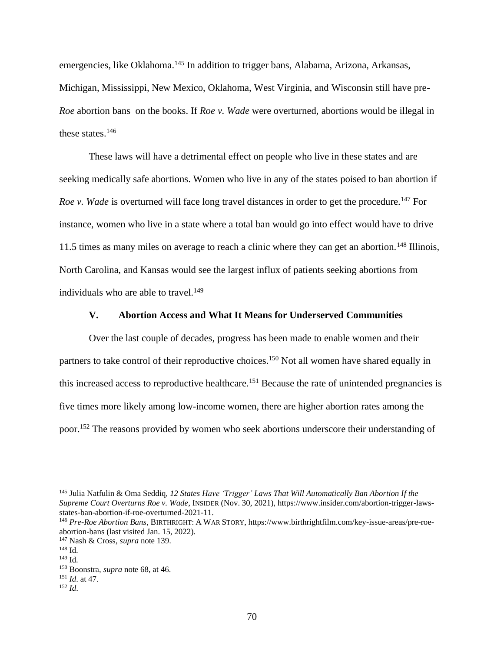emergencies, like Oklahoma.<sup>145</sup> In addition to trigger bans, Alabama, Arizona, Arkansas, Michigan, Mississippi, New Mexico, Oklahoma, West Virginia, and Wisconsin still have pre-*Roe* abortion bans on the books. If *Roe v. Wade* were overturned, abortions would be illegal in these states. 146

These laws will have a detrimental effect on people who live in these states and are seeking medically safe abortions. Women who live in any of the states poised to ban abortion if *Roe v. Wade* is overturned will face long travel distances in order to get the procedure.<sup>147</sup> For instance, women who live in a state where a total ban would go into effect would have to drive 11.5 times as many miles on average to reach a clinic where they can get an abortion.<sup>148</sup> Illinois, North Carolina, and Kansas would see the largest influx of patients seeking abortions from individuals who are able to travel. 149

#### **V. Abortion Access and What It Means for Underserved Communities**

Over the last couple of decades, progress has been made to enable women and their partners to take control of their reproductive choices.<sup>150</sup> Not all women have shared equally in this increased access to reproductive healthcare.<sup>151</sup> Because the rate of unintended pregnancies is five times more likely among low-income women, there are higher abortion rates among the poor.<sup>152</sup> The reasons provided by women who seek abortions underscore their understanding of

<sup>145</sup> Julia Natfulin & Oma Seddiq, *12 States Have 'Trigger' Laws That Will Automatically Ban Abortion If the Supreme Court Overturns Roe v. Wade*, INSIDER (Nov. 30, 2021), https://www.insider.com/abortion-trigger-lawsstates-ban-abortion-if-roe-overturned-2021-11.

<sup>146</sup> *Pre-Roe Abortion Bans*, BIRTHRIGHT: A WAR STORY, https://www.birthrightfilm.com/key-issue-areas/pre-roeabortion-bans (last visited Jan. 15, 2022).

<sup>147</sup> Nash & Cross, *supra* note 139.

<sup>148</sup> Id.

<sup>149</sup> Id.

<sup>150</sup> Boonstra, *supra* note 68, at 46.

<sup>151</sup> *Id*. at 47.

<sup>152</sup> *Id*.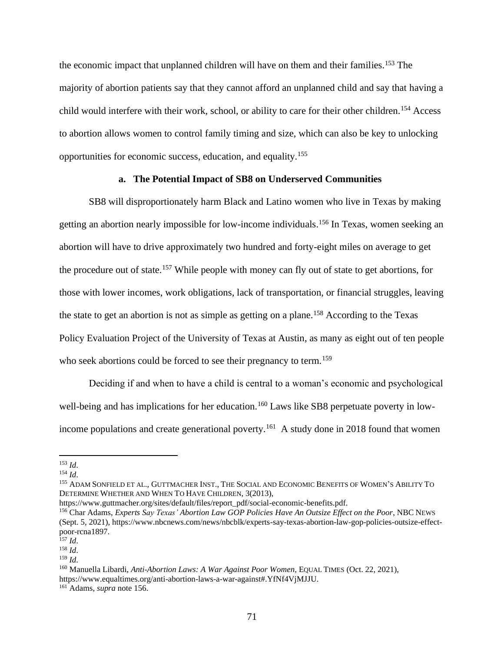the economic impact that unplanned children will have on them and their families. <sup>153</sup> The majority of abortion patients say that they cannot afford an unplanned child and say that having a child would interfere with their work, school, or ability to care for their other children.<sup>154</sup> Access to abortion allows women to control family timing and size, which can also be key to unlocking opportunities for economic success, education, and equality.<sup>155</sup>

#### **a. The Potential Impact of SB8 on Underserved Communities**

SB8 will disproportionately harm Black and Latino women who live in Texas by making getting an abortion nearly impossible for low-income individuals. <sup>156</sup> In Texas, women seeking an abortion will have to drive approximately two hundred and forty-eight miles on average to get the procedure out of state.<sup>157</sup> While people with money can fly out of state to get abortions, for those with lower incomes, work obligations, lack of transportation, or financial struggles, leaving the state to get an abortion is not as simple as getting on a plane.<sup>158</sup> According to the Texas Policy Evaluation Project of the University of Texas at Austin, as many as eight out of ten people who seek abortions could be forced to see their pregnancy to term.<sup>159</sup>

Deciding if and when to have a child is central to a woman's economic and psychological well-being and has implications for her education.<sup>160</sup> Laws like SB8 perpetuate poverty in lowincome populations and create generational poverty.<sup>161</sup> A study done in 2018 found that women

https://www.guttmacher.org/sites/default/files/report\_pdf/social-economic-benefits.pdf.

<sup>153</sup> *Id*.

<sup>154</sup> *Id*.

<sup>&</sup>lt;sup>155</sup> ADAM SONFIELD ET AL., GUTTMACHER INST., THE SOCIAL AND ECONOMIC BENEFITS OF WOMEN'S ABILITY TO DETERMINE WHETHER AND WHEN TO HAVE CHILDREN, 3(2013),

<sup>156</sup> Char Adams, *Experts Say Texas' Abortion Law GOP Policies Have An Outsize Effect on the Poor*, NBC NEWS (Sept. 5, 2021), https://www.nbcnews.com/news/nbcblk/experts-say-texas-abortion-law-gop-policies-outsize-effectpoor-rcna1897.

<sup>157</sup> *Id*.

<sup>158</sup> *Id*.

<sup>159</sup> *Id*.

<sup>160</sup> Manuella Libardi, *Anti-Abortion Laws: A War Against Poor Women,* EQUAL TIMES (Oct. 22, 2021), https://www.equaltimes.org/anti-abortion-laws-a-war-against#.YfNf4VjMJJU. <sup>161</sup> Adams, *supra* note 156.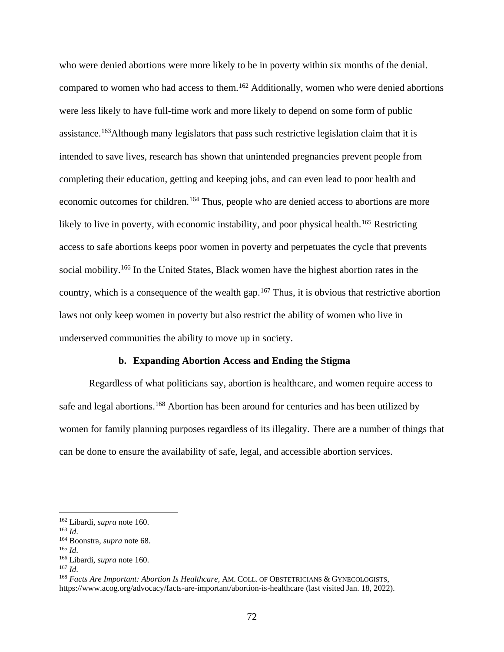who were denied abortions were more likely to be in poverty within six months of the denial. compared to women who had access to them.<sup>162</sup> Additionally, women who were denied abortions were less likely to have full-time work and more likely to depend on some form of public assistance.<sup>163</sup>Although many legislators that pass such restrictive legislation claim that it is intended to save lives, research has shown that unintended pregnancies prevent people from completing their education, getting and keeping jobs, and can even lead to poor health and economic outcomes for children.<sup>164</sup> Thus, people who are denied access to abortions are more likely to live in poverty, with economic instability, and poor physical health.<sup>165</sup> Restricting access to safe abortions keeps poor women in poverty and perpetuates the cycle that prevents social mobility.<sup>166</sup> In the United States, Black women have the highest abortion rates in the country, which is a consequence of the wealth gap.<sup>167</sup> Thus, it is obvious that restrictive abortion laws not only keep women in poverty but also restrict the ability of women who live in underserved communities the ability to move up in society.

#### **b. Expanding Abortion Access and Ending the Stigma**

Regardless of what politicians say, abortion is healthcare, and women require access to safe and legal abortions.<sup>168</sup> Abortion has been around for centuries and has been utilized by women for family planning purposes regardless of its illegality. There are a number of things that can be done to ensure the availability of safe, legal, and accessible abortion services.

<sup>163</sup> *Id*.

<sup>165</sup> *Id*.

<sup>162</sup> Libardi, *supra* note 160.

<sup>164</sup> Boonstra, *supra* note 68.

<sup>166</sup> Libardi, *supra* note 160.

<sup>167</sup> *Id*.

<sup>168</sup> *Facts Are Important: Abortion Is Healthcare,* AM. COLL. OF OBSTETRICIANS & GYNECOLOGISTS, https://www.acog.org/advocacy/facts-are-important/abortion-is-healthcare (last visited Jan. 18, 2022).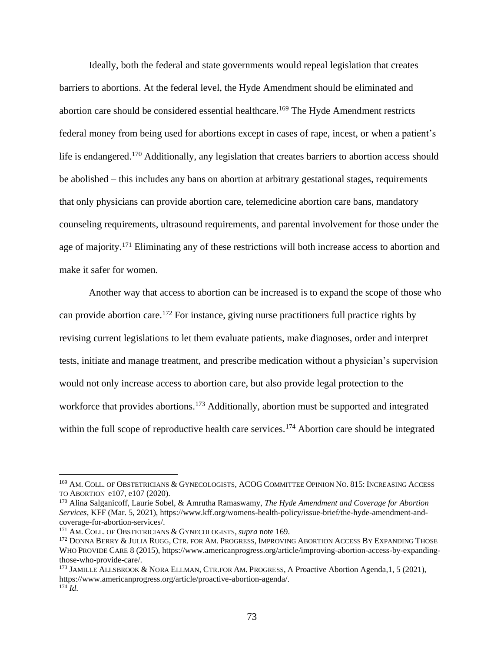Ideally, both the federal and state governments would repeal legislation that creates barriers to abortions. At the federal level, the Hyde Amendment should be eliminated and abortion care should be considered essential healthcare.<sup>169</sup> The Hyde Amendment restricts federal money from being used for abortions except in cases of rape, incest, or when a patient's life is endangered.<sup>170</sup> Additionally, any legislation that creates barriers to abortion access should be abolished – this includes any bans on abortion at arbitrary gestational stages, requirements that only physicians can provide abortion care, telemedicine abortion care bans, mandatory counseling requirements, ultrasound requirements, and parental involvement for those under the age of majority.<sup>171</sup> Eliminating any of these restrictions will both increase access to abortion and make it safer for women.

Another way that access to abortion can be increased is to expand the scope of those who can provide abortion care.<sup>172</sup> For instance, giving nurse practitioners full practice rights by revising current legislations to let them evaluate patients, make diagnoses, order and interpret tests, initiate and manage treatment, and prescribe medication without a physician's supervision would not only increase access to abortion care, but also provide legal protection to the workforce that provides abortions.<sup>173</sup> Additionally, abortion must be supported and integrated within the full scope of reproductive health care services.<sup>174</sup> Abortion care should be integrated

<sup>169</sup> AM. COLL. OF OBSTETRICIANS & GYNECOLOGISTS, ACOG COMMITTEE OPINION NO. 815: INCREASING ACCESS TO ABORTION e107, e107 (2020).

<sup>170</sup> Alina Salganicoff, Laurie Sobel, & Amrutha Ramaswamy, *The Hyde Amendment and Coverage for Abortion Services*, KFF (Mar. 5, 2021), https://www.kff.org/womens-health-policy/issue-brief/the-hyde-amendment-andcoverage-for-abortion-services/.

<sup>171</sup> AM. COLL. OF OBSTETRICIANS & GYNECOLOGISTS*, supra* note 169.

<sup>&</sup>lt;sup>172</sup> DONNA BERRY & JULIA RUGG, CTR. FOR AM. PROGRESS, IMPROVING ABORTION ACCESS BY EXPANDING THOSE WHO PROVIDE CARE 8 (2015), https://www.americanprogress.org/article/improving-abortion-access-by-expandingthose-who-provide-care/.

<sup>&</sup>lt;sup>173</sup> JAMILLE ALLSBROOK & NORA ELLMAN, CTR.FOR AM. PROGRESS, A Proactive Abortion Agenda, 1, 5 (2021), https://www.americanprogress.org/article/proactive-abortion-agenda/.  $^{174}$ *Id*.